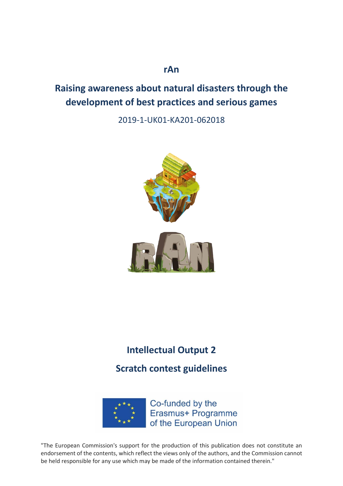## **rAn**

# **Raising awareness about natural disasters through the development of best practices and serious games**

2019-1-UK01-KA201-062018



# **Intellectual Output 2**

**Scratch contest guidelines**



Co-funded by the Erasmus+ Programme of the European Union

"The European Commission's support for the production of this publication does not constitute an endorsement of the contents, which reflect the views only of the authors, and the Commission cannot be held responsible for any use which may be made of the information contained therein."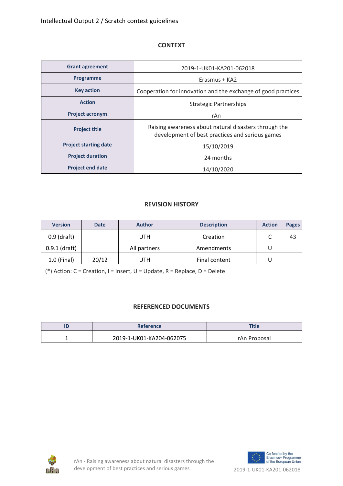#### **CONTEXT**

| <b>Grant agreement</b>       | 2019-1-UK01-KA201-062018                                                                                 |  |
|------------------------------|----------------------------------------------------------------------------------------------------------|--|
| Programme                    | Erasmus + KA2                                                                                            |  |
| <b>Key action</b>            | Cooperation for innovation and the exchange of good practices                                            |  |
| <b>Action</b>                | <b>Strategic Partnerships</b>                                                                            |  |
| <b>Project acronym</b>       | rAn                                                                                                      |  |
| <b>Project title</b>         | Raising awareness about natural disasters through the<br>development of best practices and serious games |  |
| <b>Project starting date</b> | 15/10/2019                                                                                               |  |
| <b>Project duration</b>      | 24 months                                                                                                |  |
| <b>Project end date</b>      | 14/10/2020                                                                                               |  |

### **REVISION HISTORY**

| <b>Version</b>  | <b>Date</b> | <b>Author</b> | <b>Description</b> | <b>Action</b> | <b>Pages</b> |
|-----------------|-------------|---------------|--------------------|---------------|--------------|
| $0.9$ (draft)   |             | UTH           | Creation           |               | 43           |
| $0.9.1$ (draft) |             | All partners  | Amendments         |               |              |
| $1.0$ (Final)   | 20/12       | UTH           | Final content      |               |              |

(\*) Action: C = Creation, I = Insert, U = Update, R = Replace, D = Delete

### **REFERENCED DOCUMENTS**

| <b>Reference</b>         | <b>Title</b> |
|--------------------------|--------------|
| 2019-1-UK01-KA204-062075 | rAn Proposal |



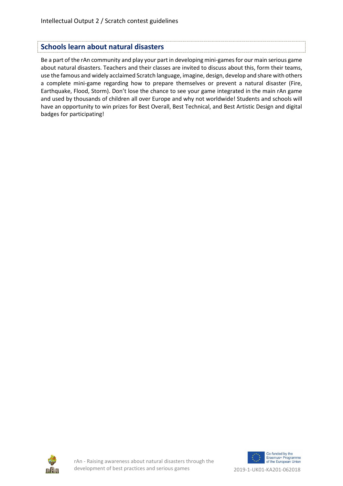### **Schools learn about natural disasters**

Be a part of the rAn community and play your part in developing mini-games for our main serious game about natural disasters. Teachers and their classes are invited to discuss about this, form their teams, use the famous and widely acclaimed Scratch language, imagine, design, develop and share with others a complete mini-game regarding how to prepare themselves or prevent a natural disaster (Fire, Earthquake, Flood, Storm). Don't lose the chance to see your game integrated in the main rAn game and used by thousands of children all over Europe and why not worldwide! Students and schools will have an opportunity to win prizes for Best Overall, Best Technical, and Best Artistic Design and digital badges for participating!



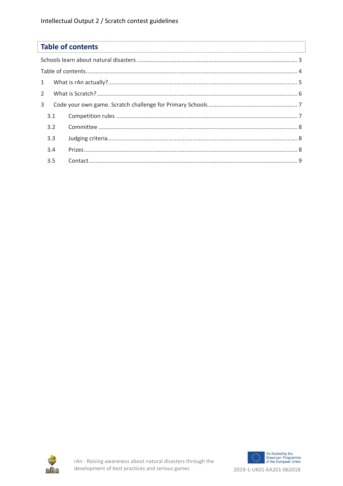

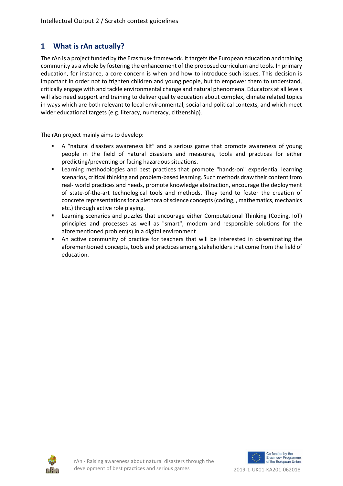### **1 What is rAn actually?**

The rAn is a project funded by the Erasmus+ framework. It targets the European education and training community as a whole by fostering the enhancement of the proposed curriculum and tools. In primary education, for instance, a core concern is when and how to introduce such issues. This decision is important in order not to frighten children and young people, but to empower them to understand, critically engage with and tackle environmental change and natural phenomena. Educators at all levels will also need support and training to deliver quality education about complex, climate related topics in ways which are both relevant to local environmental, social and political contexts, and which meet wider educational targets (e.g. literacy, numeracy, citizenship).

The rAn project mainly aims to develop:

- A "natural disasters awareness kit" and a serious game that promote awareness of young people in the field of natural disasters and measures, tools and practices for either predicting/preventing or facing hazardous situations.
- **EXECT** Learning methodologies and best practices that promote "hands-on" experiential learning scenarios, critical thinking and problem-based learning. Such methods draw their content from real- world practices and needs, promote knowledge abstraction, encourage the deployment of state-of-the-art technological tools and methods. They tend to foster the creation of concrete representations for a plethora of science concepts (coding, , mathematics, mechanics etc.) through active role playing.
- Learning scenarios and puzzles that encourage either Computational Thinking (Coding, IoT) principles and processes as well as "smart", modern and responsible solutions for the aforementioned problem(s) in a digital environment
- **•** An active community of practice for teachers that will be interested in disseminating the aforementioned concepts, tools and practices among stakeholders that come from the field of education.



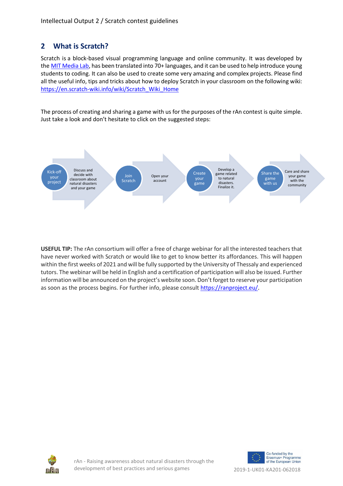## **2 What is Scratch?**

Scratch is a block-based visual programming language and online community. It was developed by the [MIT Media Lab,](http://scratch.mit.edu/) has been translated into 70+ languages, and it can be used to help introduce young students to coding. It can also be used to create some very amazing and complex projects. Please find all the useful info, tips and tricks about how to deploy Scratch in your classroom on the following wiki: [https://en.scratch-wiki.info/wiki/Scratch\\_Wiki\\_Home](https://en.scratch-wiki.info/wiki/Scratch_Wiki_Home) 

The process of creating and sharing a game with us for the purposes of the rAn contest is quite simple. Just take a look and don't hesitate to click on the suggested steps:



**USEFUL TIP:** The rAn consortium will offer a free of charge webinar for all the interested teachers that have never worked with Scratch or would like to get to know better its affordances. This will happen within the first weeks of 2021 and will be fully supported by the University of Thessaly and experienced tutors. The webinar will be held in English and a certification of participation will also be issued. Further information will be announced on the project's website soon. Don't forget to reserve your participation as soon as the process begins. For further info, please consult [https://ranproject.eu/.](https://ranproject.eu/)





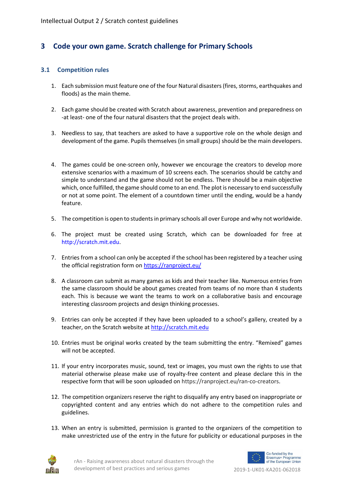### **3 Code your own game. Scratch challenge for Primary Schools**

#### **3.1 Competition rules**

- 1. Each submission must feature one of the four Natural disasters (fires, storms, earthquakes and floods) as the main theme.
- 2. Each game should be created with Scratch about awareness, prevention and preparedness on -at least- one of the four natural disasters that the project deals with.
- 3. Needless to say, that teachers are asked to have a supportive role on the whole design and development of the game. Pupils themselves (in small groups) should be the main developers.
- 4. The games could be one-screen only, however we encourage the creators to develop more extensive scenarios with a maximum of 10 screens each. The scenarios should be catchy and simple to understand and the game should not be endless. There should be a main objective which, once fulfilled, the game should come to an end. The plot is necessary to end successfully or not at some point. The element of a countdown timer until the ending, would be a handy feature.
- 5. The competition is open to students in primary schools all over Europe and why not worldwide.
- 6. The project must be created using Scratch, which can be downloaded for free at http://scratch.mit.edu.
- 7. Entries from a school can only be accepted if the school has been registered by a teacher using the official registration form o[n https://ranproject.eu/](https://ranproject.eu/)
- 8. A classroom can submit as many games as kids and their teacher like. Numerous entries from the same classroom should be about games created from teams of no more than 4 students each. This is because we want the teams to work on a collaborative basis and encourage interesting classroom projects and design thinking processes.
- 9. Entries can only be accepted if they have been uploaded to a school's gallery, created by a teacher, on the Scratch website at [http://scratch.mit.edu](http://scratch.mit.edu/)
- 10. Entries must be original works created by the team submitting the entry. "Remixed" games will not be accepted.
- 11. If your entry incorporates music, sound, text or images, you must own the rights to use that material otherwise please make use of royalty-free content and please declare this in the respective form that will be soon uploaded on https://ranproject.eu/ran-co-creators.
- 12. The competition organizers reserve the right to disqualify any entry based on inappropriate or copyrighted content and any entries which do not adhere to the competition rules and guidelines.
- 13. When an entry is submitted, permission is granted to the organizers of the competition to make unrestricted use of the entry in the future for publicity or educational purposes in the



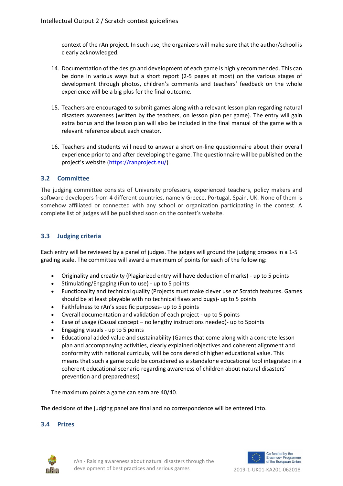context of the rAn project. In such use, the organizers will make sure that the author/school is clearly acknowledged.

- 14. Documentation of the design and development of each game is highly recommended. This can be done in various ways but a short report (2-5 pages at most) on the various stages of development through photos, children's comments and teachers' feedback on the whole experience will be a big plus for the final outcome.
- 15. Teachers are encouraged to submit games along with a relevant lesson plan regarding natural disasters awareness (written by the teachers, on lesson plan per game). The entry will gain extra bonus and the lesson plan will also be included in the final manual of the game with a relevant reference about each creator.
- 16. Teachers and students will need to answer a short on-line questionnaire about their overall experience prior to and after developing the game. The questionnaire will be published on the project's website ([https://ranproject.eu/\)](https://ranproject.eu/)

### **3.2 Committee**

The judging committee consists of University professors, experienced teachers, policy makers and software developers from 4 different countries, namely Greece, Portugal, Spain, UK. None of them is somehow affiliated or connected with any school or organization participating in the contest. A complete list of judges will be published soon on the contest's website.

#### **3.3 Judging criteria**

Each entry will be reviewed by a panel of judges. The judges will ground the judging process in a 1-5 grading scale. The committee will award a maximum of points for each of the following:

- Originality and creativity (Plagiarized entry will have deduction of marks) up to 5 points
- Stimulating/Engaging (Fun to use) up to 5 points
- Functionality and technical quality (Projects must make clever use of Scratch features. Games should be at least playable with no technical flaws and bugs)- up to 5 points
- Faithfulness to rAn's specific purposes- up to 5 points
- Overall documentation and validation of each project up to 5 points
- Ease of usage (Casual concept no lengthy instructions needed)- up to 5points
- Engaging visuals up to 5 points
- Educational added value and sustainability (Games that come along with a concrete lesson plan and accompanying activities, clearly explained objectives and coherent alignment and conformity with national curricula, will be considered of higher educational value. This means that such a game could be considered as a standalone educational tool integrated in a coherent educational scenario regarding awareness of children about natural disasters' prevention and preparedness)

The maximum points a game can earn are 40/40.

The decisions of the judging panel are final and no correspondence will be entered into.

#### **3.4 Prizes**